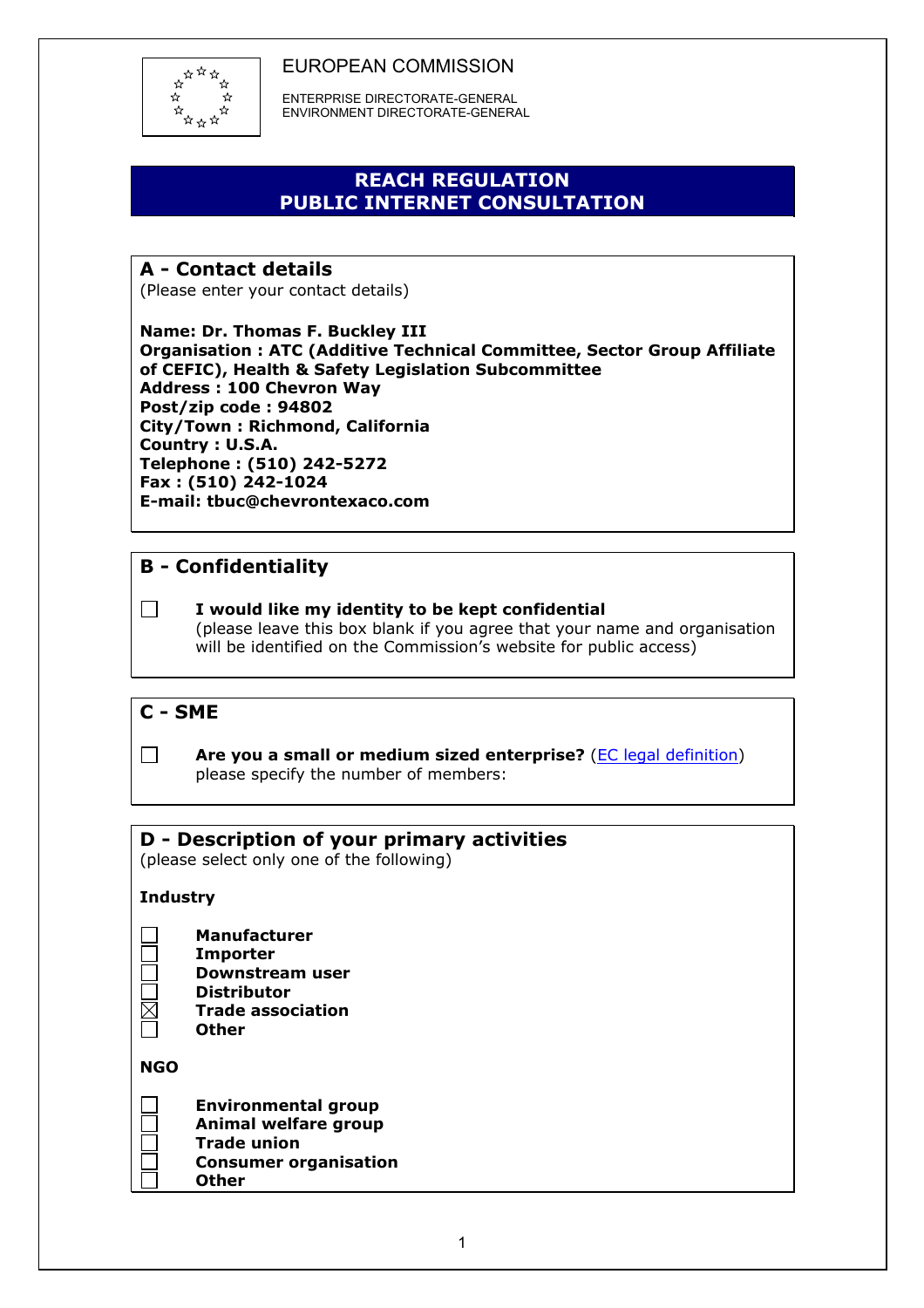

 ENTERPRISE DIRECTORATE-GENERAL ENVIRONMENT DIRECTORATE-GENERAL

# **REACH REGULATION PUBLIC INTERNET CONSULTATION**

# **A - Contact details**

(Please enter your contact details)

**Name: Dr. Thomas F. Buckley III Organisation : ATC (Additive Technical Committee, Sector Group Affiliate of CEFIC), Health & Safety Legislation Subcommittee Address : 100 Chevron Way Post/zip code : 94802 City/Town : Richmond, California Country : U.S.A. Telephone : (510) 242-5272 Fax : (510) 242-1024 E-mail: tbuc@chevrontexaco.com** 

# **B - Confidentiality**

### **I would like my identity to be kept confidential**

 (please leave this box blank if you agree that your name and organisation will be identified on the Commission's website for public access)

## **C - SME**



**Are you a small or medium sized enterprise?** [\(EC legal definition\)](http://europa.eu.int/comm/enterprise/enterprise_policy/sme_definition/index_en.htm) please specify the number of members:

## **D - Description of your primary activities**

(please select only one of the following)

#### **Industry**

- **Manufacturer**
- **Importer**
- **Downstream user**
- **Distributor**
- **Trade association Other**

**NGO** 

| <b>Environmental group</b>   |
|------------------------------|
| Animal welfare group         |
| <b>Trade union</b>           |
| <b>Consumer organisation</b> |
| <b>Other</b>                 |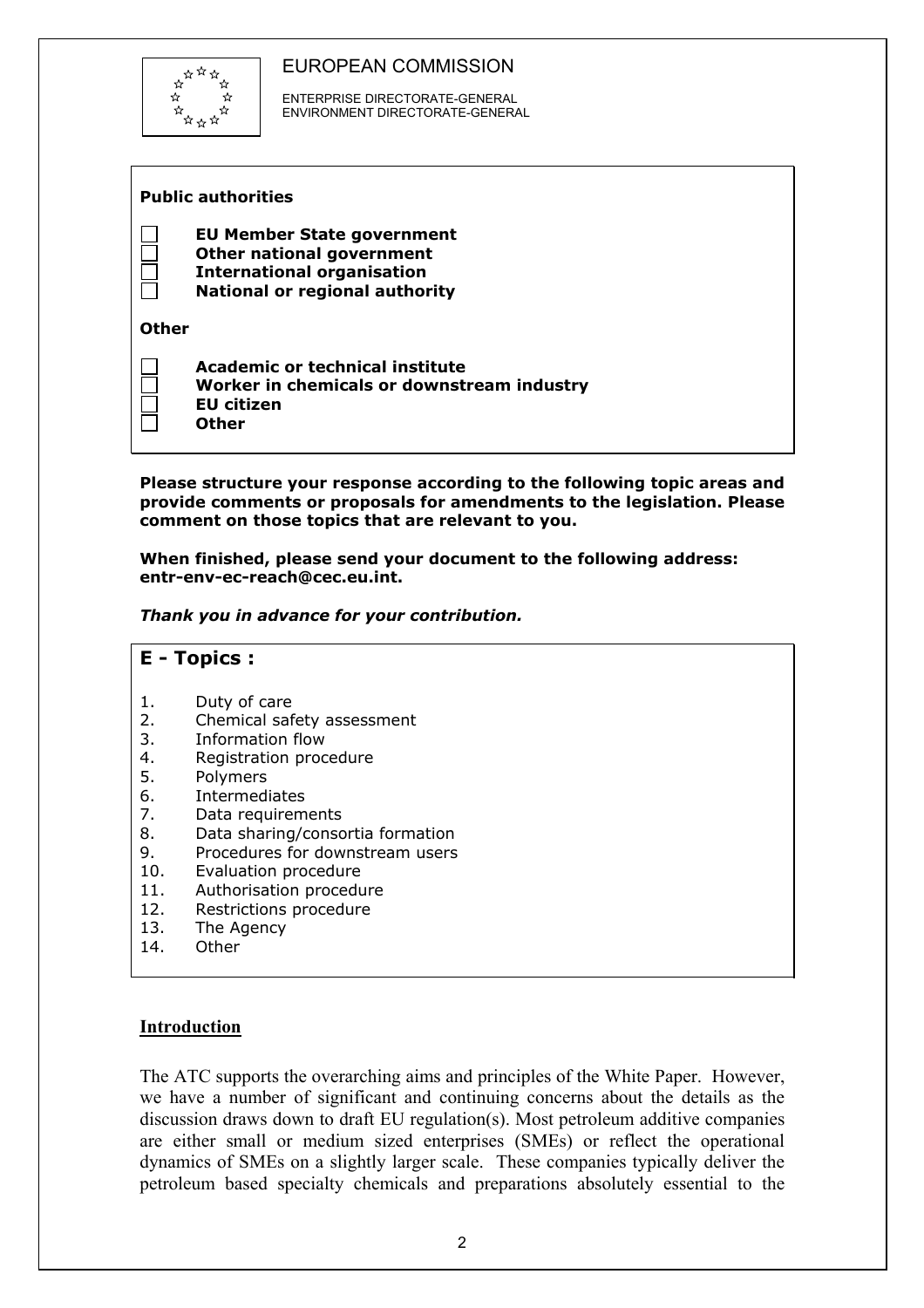

 ENTERPRISE DIRECTORATE-GENERAL ENVIRONMENT DIRECTORATE-GENERAL

| <b>Public authorities</b> |                                                                                                                                              |  |
|---------------------------|----------------------------------------------------------------------------------------------------------------------------------------------|--|
|                           | <b>EU Member State government</b><br>Other national government<br><b>International organisation</b><br><b>National or regional authority</b> |  |
| Other                     |                                                                                                                                              |  |
|                           | Academic or technical institute<br>Worker in chemicals or downstream industry<br><b>EU</b> citizen<br>Other                                  |  |

**Please structure your response according to the following topic areas and provide comments or proposals for amendments to the legislation. Please comment on those topics that are relevant to you.** 

**When finished, please send your document to the following address: entr-env-ec-reach@cec.eu.int.** 

*Thank you in advance for your contribution.* 



#### **Introduction**

The ATC supports the overarching aims and principles of the White Paper. However, we have a number of significant and continuing concerns about the details as the discussion draws down to draft EU regulation(s). Most petroleum additive companies are either small or medium sized enterprises (SMEs) or reflect the operational dynamics of SMEs on a slightly larger scale. These companies typically deliver the petroleum based specialty chemicals and preparations absolutely essential to the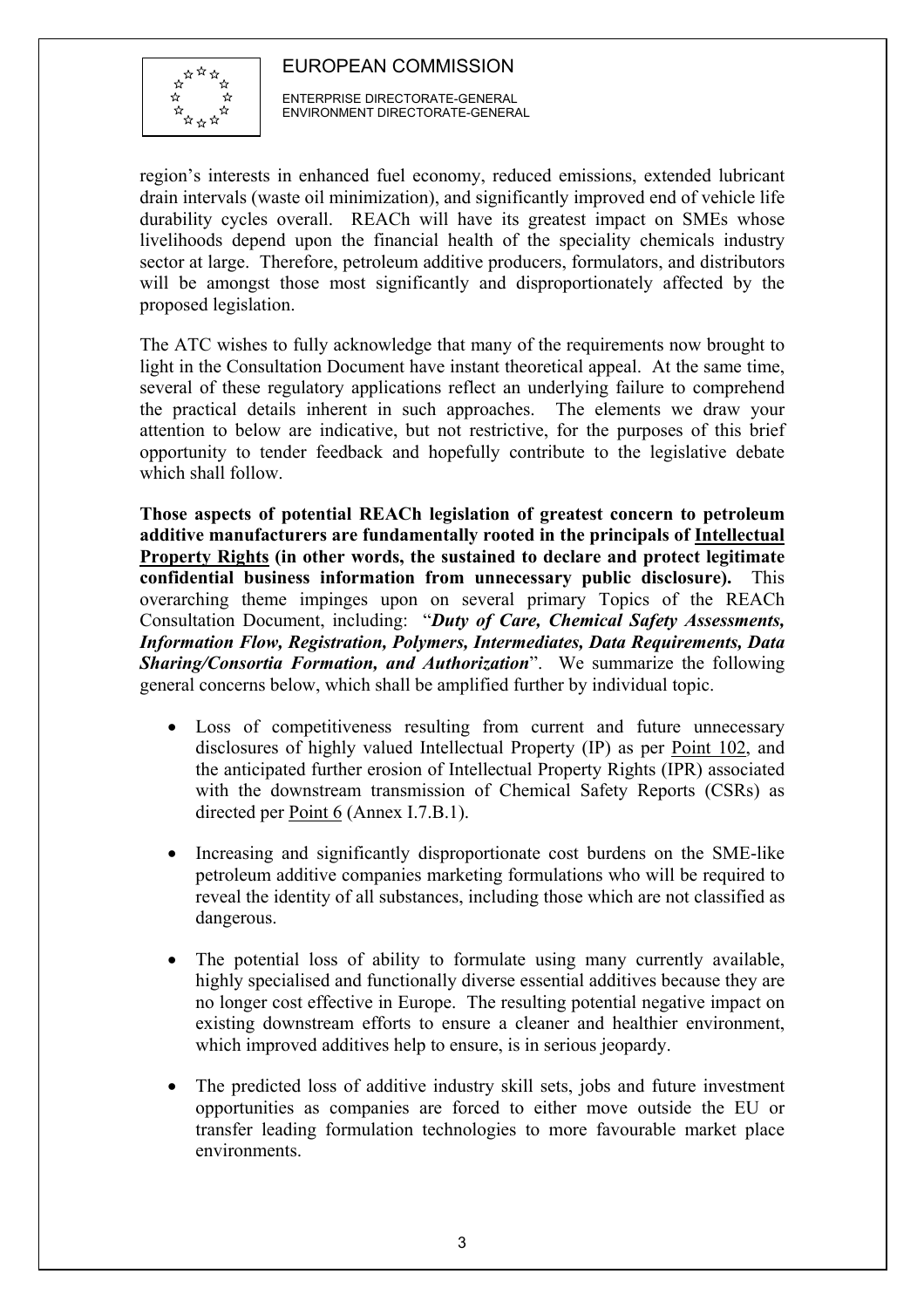

 ENTERPRISE DIRECTORATE-GENERAL ENVIRONMENT DIRECTORATE-GENERAL

region's interests in enhanced fuel economy, reduced emissions, extended lubricant drain intervals (waste oil minimization), and significantly improved end of vehicle life durability cycles overall. REACh will have its greatest impact on SMEs whose livelihoods depend upon the financial health of the speciality chemicals industry sector at large. Therefore, petroleum additive producers, formulators, and distributors will be amongst those most significantly and disproportionately affected by the proposed legislation.

The ATC wishes to fully acknowledge that many of the requirements now brought to light in the Consultation Document have instant theoretical appeal. At the same time, several of these regulatory applications reflect an underlying failure to comprehend the practical details inherent in such approaches. The elements we draw your attention to below are indicative, but not restrictive, for the purposes of this brief opportunity to tender feedback and hopefully contribute to the legislative debate which shall follow.

**Those aspects of potential REACh legislation of greatest concern to petroleum additive manufacturers are fundamentally rooted in the principals of Intellectual Property Rights (in other words, the sustained to declare and protect legitimate confidential business information from unnecessary public disclosure).** This overarching theme impinges upon on several primary Topics of the REACh Consultation Document, including: "*Duty of Care, Chemical Safety Assessments, Information Flow, Registration, Polymers, Intermediates, Data Requirements, Data Sharing/Consortia Formation, and Authorization*". We summarize the following general concerns below, which shall be amplified further by individual topic.

- Loss of competitiveness resulting from current and future unnecessary disclosures of highly valued Intellectual Property (IP) as per Point 102, and the anticipated further erosion of Intellectual Property Rights (IPR) associated with the downstream transmission of Chemical Safety Reports (CSRs) as directed per Point 6 (Annex I.7.B.1).
- Increasing and significantly disproportionate cost burdens on the SME-like petroleum additive companies marketing formulations who will be required to reveal the identity of all substances, including those which are not classified as dangerous.
- The potential loss of ability to formulate using many currently available, highly specialised and functionally diverse essential additives because they are no longer cost effective in Europe. The resulting potential negative impact on existing downstream efforts to ensure a cleaner and healthier environment, which improved additives help to ensure, is in serious jeopardy.
- The predicted loss of additive industry skill sets, jobs and future investment opportunities as companies are forced to either move outside the EU or transfer leading formulation technologies to more favourable market place environments.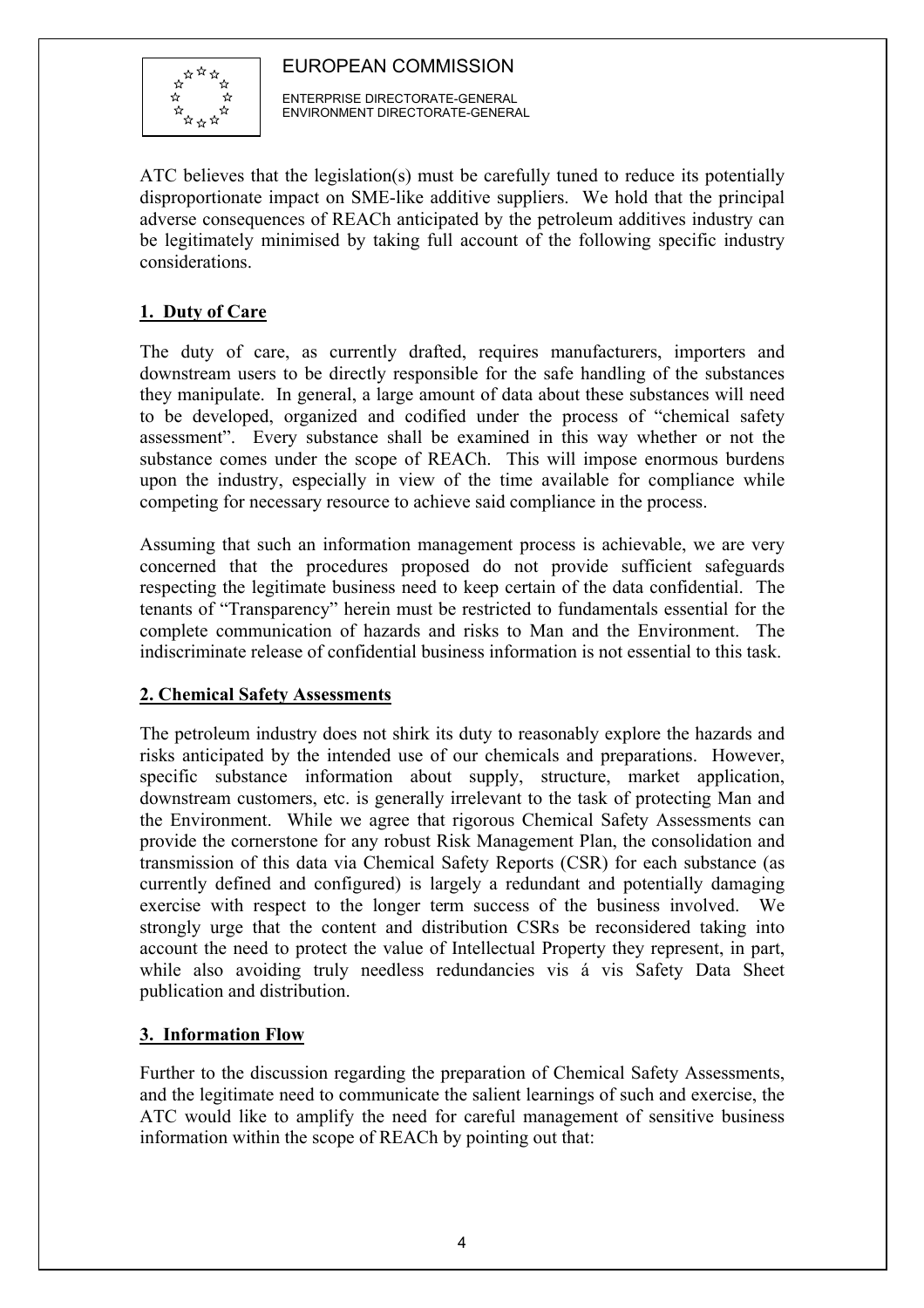

 ENTERPRISE DIRECTORATE-GENERAL ENVIRONMENT DIRECTORATE-GENERAL

ATC believes that the legislation(s) must be carefully tuned to reduce its potentially disproportionate impact on SME-like additive suppliers. We hold that the principal adverse consequences of REACh anticipated by the petroleum additives industry can be legitimately minimised by taking full account of the following specific industry considerations.

## **1. Duty of Care**

The duty of care, as currently drafted, requires manufacturers, importers and downstream users to be directly responsible for the safe handling of the substances they manipulate. In general, a large amount of data about these substances will need to be developed, organized and codified under the process of "chemical safety assessment". Every substance shall be examined in this way whether or not the substance comes under the scope of REACh. This will impose enormous burdens upon the industry, especially in view of the time available for compliance while competing for necessary resource to achieve said compliance in the process.

Assuming that such an information management process is achievable, we are very concerned that the procedures proposed do not provide sufficient safeguards respecting the legitimate business need to keep certain of the data confidential. The tenants of "Transparency" herein must be restricted to fundamentals essential for the complete communication of hazards and risks to Man and the Environment. The indiscriminate release of confidential business information is not essential to this task.

## **2. Chemical Safety Assessments**

The petroleum industry does not shirk its duty to reasonably explore the hazards and risks anticipated by the intended use of our chemicals and preparations. However, specific substance information about supply, structure, market application, downstream customers, etc. is generally irrelevant to the task of protecting Man and the Environment. While we agree that rigorous Chemical Safety Assessments can provide the cornerstone for any robust Risk Management Plan, the consolidation and transmission of this data via Chemical Safety Reports (CSR) for each substance (as currently defined and configured) is largely a redundant and potentially damaging exercise with respect to the longer term success of the business involved. We strongly urge that the content and distribution CSRs be reconsidered taking into account the need to protect the value of Intellectual Property they represent, in part, while also avoiding truly needless redundancies vis á vis Safety Data Sheet publication and distribution.

## **3. Information Flow**

Further to the discussion regarding the preparation of Chemical Safety Assessments, and the legitimate need to communicate the salient learnings of such and exercise, the ATC would like to amplify the need for careful management of sensitive business information within the scope of REACh by pointing out that: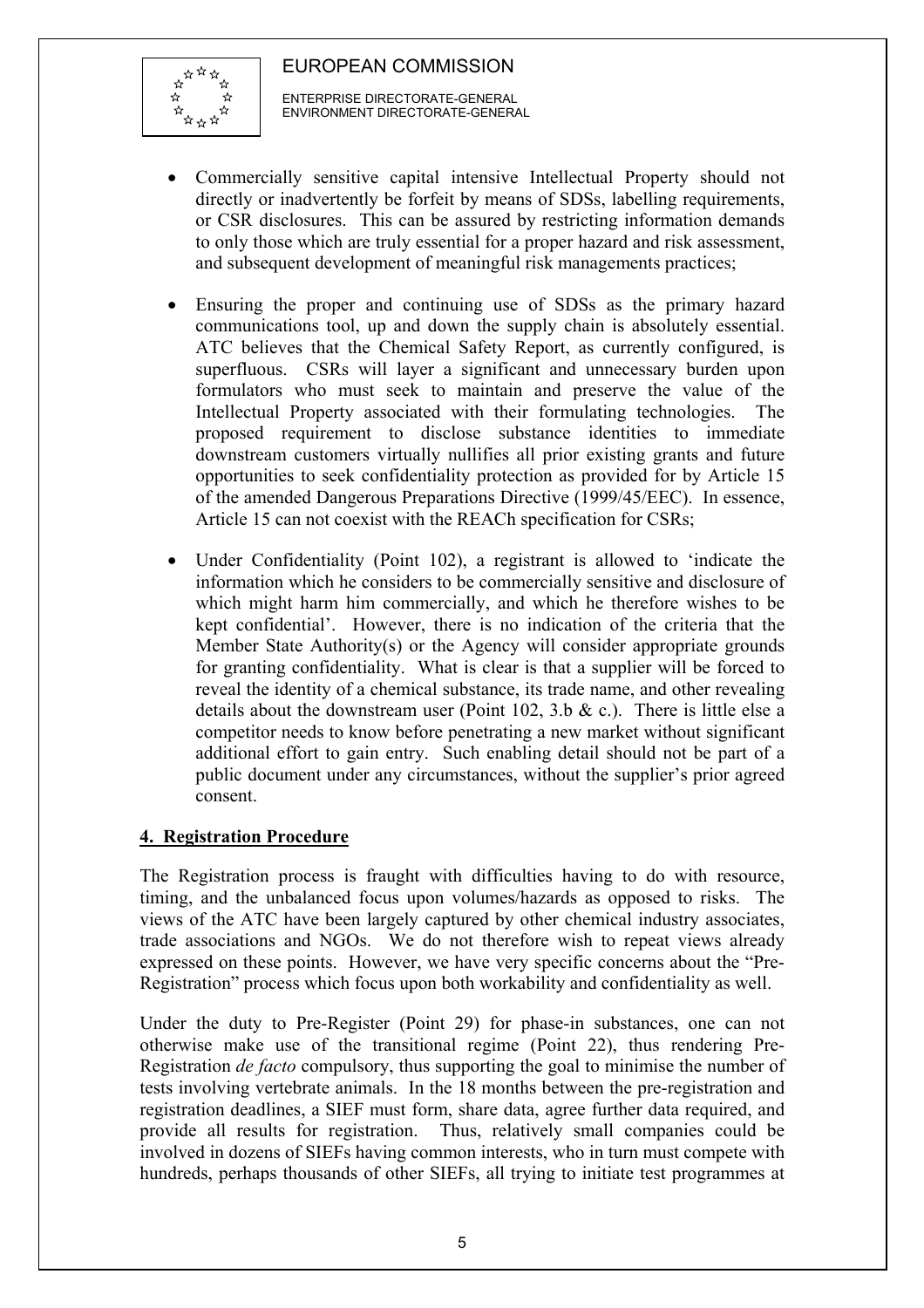

 ENTERPRISE DIRECTORATE-GENERAL ENVIRONMENT DIRECTORATE-GENERAL

- Commercially sensitive capital intensive Intellectual Property should not directly or inadvertently be forfeit by means of SDSs, labelling requirements, or CSR disclosures. This can be assured by restricting information demands to only those which are truly essential for a proper hazard and risk assessment, and subsequent development of meaningful risk managements practices;
- Ensuring the proper and continuing use of SDSs as the primary hazard communications tool, up and down the supply chain is absolutely essential. ATC believes that the Chemical Safety Report, as currently configured, is superfluous. CSRs will layer a significant and unnecessary burden upon formulators who must seek to maintain and preserve the value of the Intellectual Property associated with their formulating technologies. The proposed requirement to disclose substance identities to immediate downstream customers virtually nullifies all prior existing grants and future opportunities to seek confidentiality protection as provided for by Article 15 of the amended Dangerous Preparations Directive (1999/45/EEC). In essence, Article 15 can not coexist with the REACh specification for CSRs;
- Under Confidentiality (Point 102), a registrant is allowed to 'indicate the information which he considers to be commercially sensitive and disclosure of which might harm him commercially, and which he therefore wishes to be kept confidential'. However, there is no indication of the criteria that the Member State Authority(s) or the Agency will consider appropriate grounds for granting confidentiality. What is clear is that a supplier will be forced to reveal the identity of a chemical substance, its trade name, and other revealing details about the downstream user (Point  $102$ ,  $3.b & c$ ). There is little else a competitor needs to know before penetrating a new market without significant additional effort to gain entry. Such enabling detail should not be part of a public document under any circumstances, without the supplier's prior agreed consent.

## **4. Registration Procedure**

The Registration process is fraught with difficulties having to do with resource, timing, and the unbalanced focus upon volumes/hazards as opposed to risks. The views of the ATC have been largely captured by other chemical industry associates, trade associations and NGOs. We do not therefore wish to repeat views already expressed on these points. However, we have very specific concerns about the "Pre-Registration" process which focus upon both workability and confidentiality as well.

Under the duty to Pre-Register (Point 29) for phase-in substances, one can not otherwise make use of the transitional regime (Point 22), thus rendering Pre-Registration *de facto* compulsory, thus supporting the goal to minimise the number of tests involving vertebrate animals. In the 18 months between the pre-registration and registration deadlines, a SIEF must form, share data, agree further data required, and provide all results for registration. Thus, relatively small companies could be involved in dozens of SIEFs having common interests, who in turn must compete with hundreds, perhaps thousands of other SIEFs, all trying to initiate test programmes at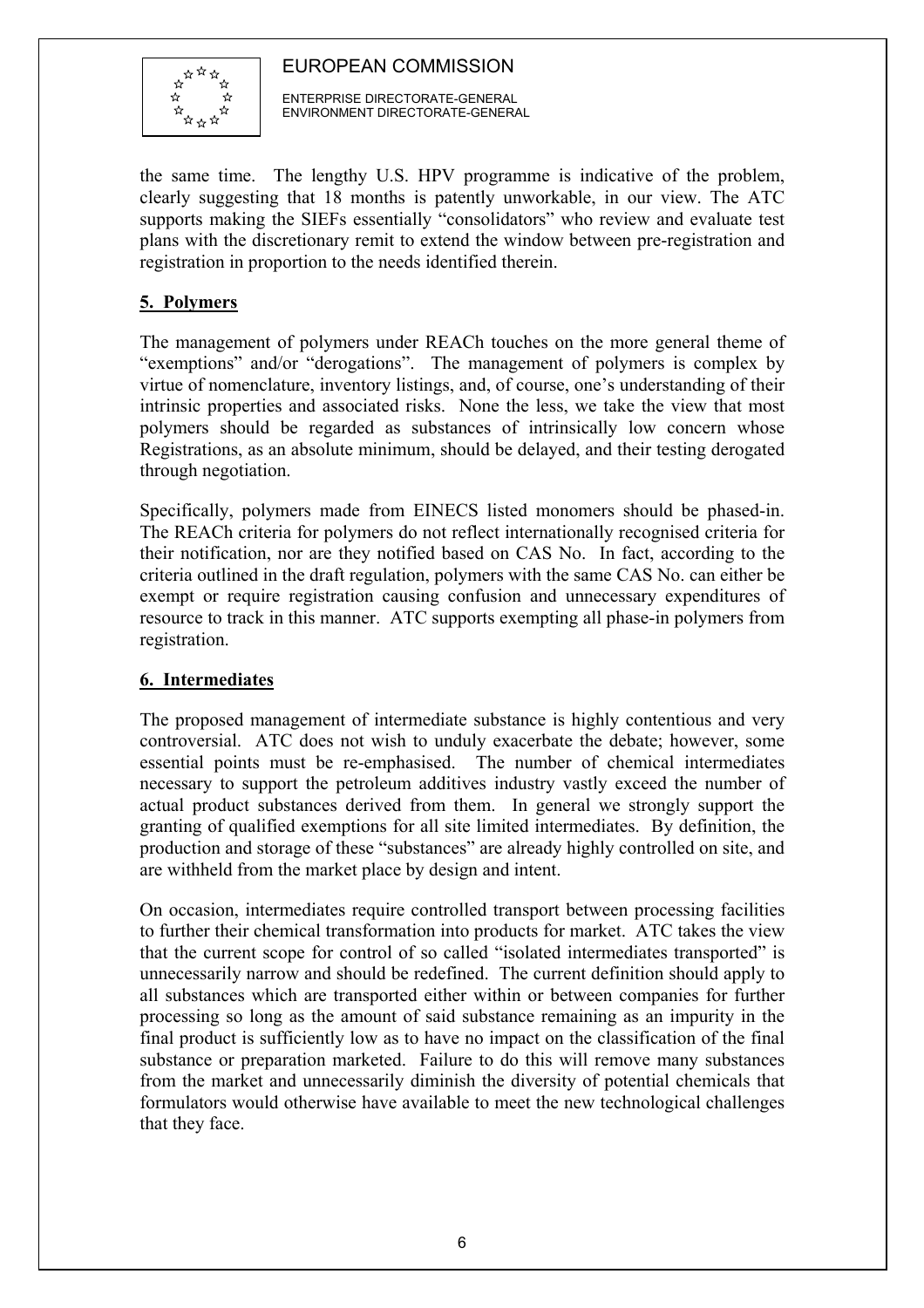

 ENTERPRISE DIRECTORATE-GENERAL ENVIRONMENT DIRECTORATE-GENERAL

the same time. The lengthy U.S. HPV programme is indicative of the problem, clearly suggesting that 18 months is patently unworkable, in our view. The ATC supports making the SIEFs essentially "consolidators" who review and evaluate test plans with the discretionary remit to extend the window between pre-registration and registration in proportion to the needs identified therein.

## **5. Polymers**

The management of polymers under REACh touches on the more general theme of "exemptions" and/or "derogations". The management of polymers is complex by virtue of nomenclature, inventory listings, and, of course, one's understanding of their intrinsic properties and associated risks. None the less, we take the view that most polymers should be regarded as substances of intrinsically low concern whose Registrations, as an absolute minimum, should be delayed, and their testing derogated through negotiation.

Specifically, polymers made from EINECS listed monomers should be phased-in. The REACh criteria for polymers do not reflect internationally recognised criteria for their notification, nor are they notified based on CAS No. In fact, according to the criteria outlined in the draft regulation, polymers with the same CAS No. can either be exempt or require registration causing confusion and unnecessary expenditures of resource to track in this manner. ATC supports exempting all phase-in polymers from registration.

## **6. Intermediates**

The proposed management of intermediate substance is highly contentious and very controversial. ATC does not wish to unduly exacerbate the debate; however, some essential points must be re-emphasised. The number of chemical intermediates necessary to support the petroleum additives industry vastly exceed the number of actual product substances derived from them. In general we strongly support the granting of qualified exemptions for all site limited intermediates. By definition, the production and storage of these "substances" are already highly controlled on site, and are withheld from the market place by design and intent.

On occasion, intermediates require controlled transport between processing facilities to further their chemical transformation into products for market. ATC takes the view that the current scope for control of so called "isolated intermediates transported" is unnecessarily narrow and should be redefined. The current definition should apply to all substances which are transported either within or between companies for further processing so long as the amount of said substance remaining as an impurity in the final product is sufficiently low as to have no impact on the classification of the final substance or preparation marketed. Failure to do this will remove many substances from the market and unnecessarily diminish the diversity of potential chemicals that formulators would otherwise have available to meet the new technological challenges that they face.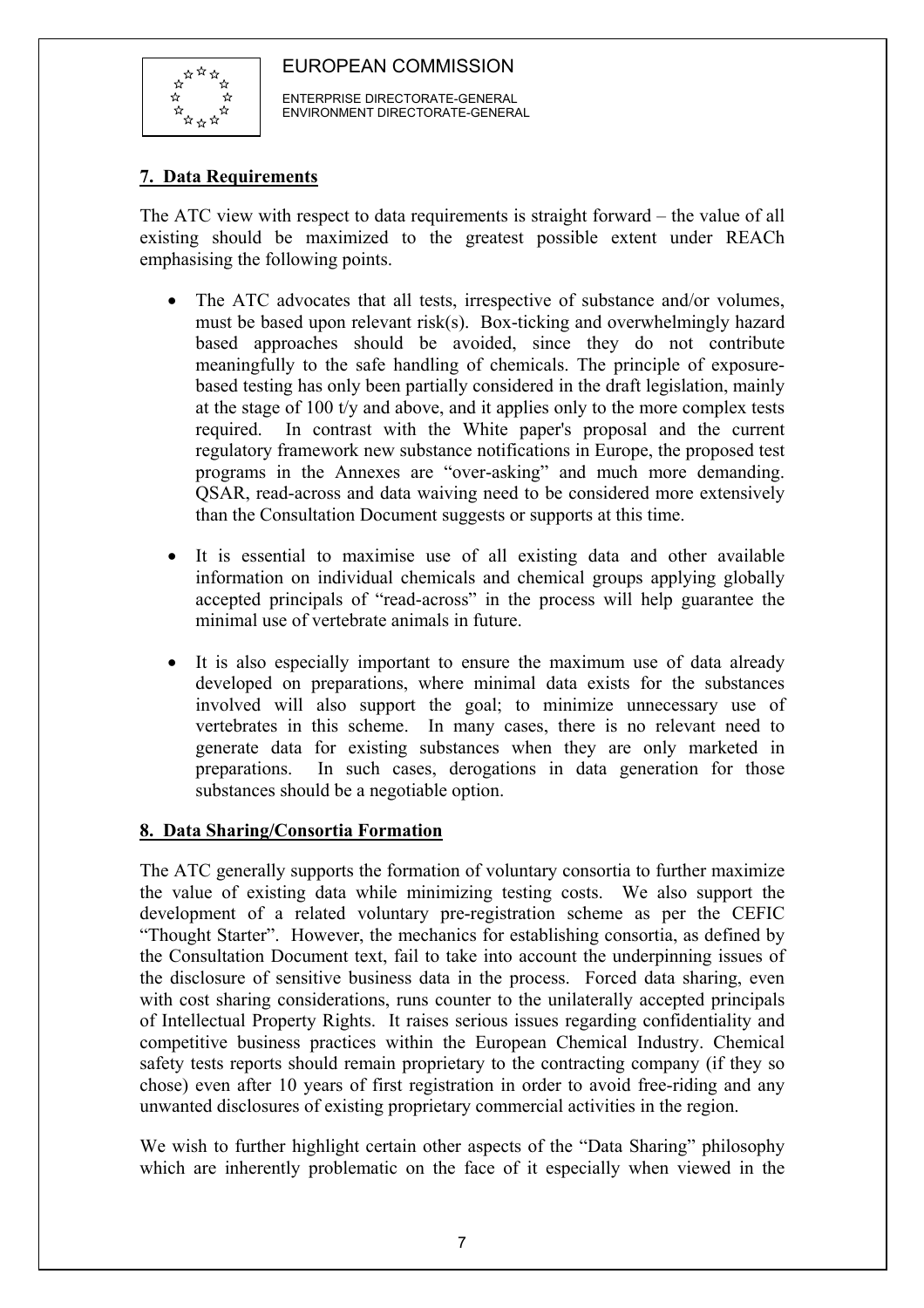

 ENTERPRISE DIRECTORATE-GENERAL ENVIRONMENT DIRECTORATE-GENERAL

## **7. Data Requirements**

The ATC view with respect to data requirements is straight forward – the value of all existing should be maximized to the greatest possible extent under REACh emphasising the following points.

- The ATC advocates that all tests, irrespective of substance and/or volumes, must be based upon relevant risk(s). Box-ticking and overwhelmingly hazard based approaches should be avoided, since they do not contribute meaningfully to the safe handling of chemicals. The principle of exposurebased testing has only been partially considered in the draft legislation, mainly at the stage of 100 t/y and above, and it applies only to the more complex tests required. In contrast with the White paper's proposal and the current regulatory framework new substance notifications in Europe, the proposed test programs in the Annexes are "over-asking" and much more demanding. QSAR, read-across and data waiving need to be considered more extensively than the Consultation Document suggests or supports at this time.
- It is essential to maximise use of all existing data and other available information on individual chemicals and chemical groups applying globally accepted principals of "read-across" in the process will help guarantee the minimal use of vertebrate animals in future.
- It is also especially important to ensure the maximum use of data already developed on preparations, where minimal data exists for the substances involved will also support the goal; to minimize unnecessary use of vertebrates in this scheme. In many cases, there is no relevant need to generate data for existing substances when they are only marketed in preparations. In such cases, derogations in data generation for those substances should be a negotiable option.

## **8. Data Sharing/Consortia Formation**

The ATC generally supports the formation of voluntary consortia to further maximize the value of existing data while minimizing testing costs. We also support the development of a related voluntary pre-registration scheme as per the CEFIC "Thought Starter". However, the mechanics for establishing consortia, as defined by the Consultation Document text, fail to take into account the underpinning issues of the disclosure of sensitive business data in the process. Forced data sharing, even with cost sharing considerations, runs counter to the unilaterally accepted principals of Intellectual Property Rights. It raises serious issues regarding confidentiality and competitive business practices within the European Chemical Industry. Chemical safety tests reports should remain proprietary to the contracting company (if they so chose) even after 10 years of first registration in order to avoid free-riding and any unwanted disclosures of existing proprietary commercial activities in the region.

We wish to further highlight certain other aspects of the "Data Sharing" philosophy which are inherently problematic on the face of it especially when viewed in the